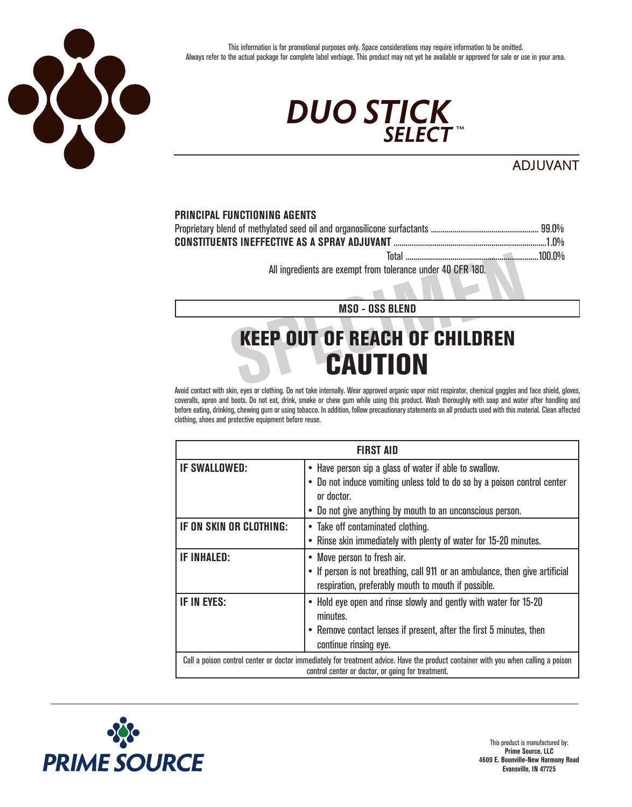

This information is for promotional purposes only. Space considerations may require information to be omitted. Always refer to the actual package for complete label verbiage. This product may not yet be available or approved for sale or use in your area.

# *DUO STICK*

### ADJUVANT

#### **PRINCIPAL FUNCTIONING AGENTS**

| All ingredients are exempt from tolerance under 40 CFR 180. |  |
|-------------------------------------------------------------|--|

**MSO - OSS BLEND**

## **SPECIMEN** KEEP OUT OF REACH OF CHILDREN **CAUTION**

Avoid contact with skin, eyes or clothing. Do not take internally. Wear approved organic vapor mist respirator, chemical goggles and face shield, gloves, coveralls, apron and boots. Do not eat, drink, smoke or chew gum while using this product. Wash thoroughly with soap and water after handling and before eating, drinking, chewing gum or using tobacco. In addition, follow precautionary statements on all products used with this material. Clean affected clothing, shoes and protective equipment before reuse.

| <b>FIRST AID</b>        |                                                                                                                                                                                                               |  |
|-------------------------|---------------------------------------------------------------------------------------------------------------------------------------------------------------------------------------------------------------|--|
| <b>IF SWALLOWED:</b>    | • Have person sip a glass of water if able to swallow.<br>• Do not induce vomiting unless told to do so by a poison control center<br>or doctor.<br>• Do not give anything by mouth to an unconscious person. |  |
| IF ON SKIN OR CLOTHING: | • Take off contaminated clothing.<br>• Rinse skin immediately with plenty of water for 15-20 minutes.                                                                                                         |  |
| <b>IF INHALED:</b>      | • Move person to fresh air.<br>• If person is not breathing, call 911 or an ambulance, then give artificial<br>respiration, preferably mouth to mouth if possible.                                            |  |
| IF IN EYES:             | • Hold eye open and rinse slowly and gently with water for 15-20<br>minutes.<br>• Remove contact lenses if present, after the first 5 minutes, then<br>continue rinsing eye.                                  |  |
|                         | Call a poison control center or doctor immediately for treatment advice. Have the product container with you when calling a poison<br>control center or doctor, or going for treatment.                       |  |



This product is manufactured by: **Prime Source, LLC 4609 E. Boonville-New Harmony Road Evansville, IN 47725**